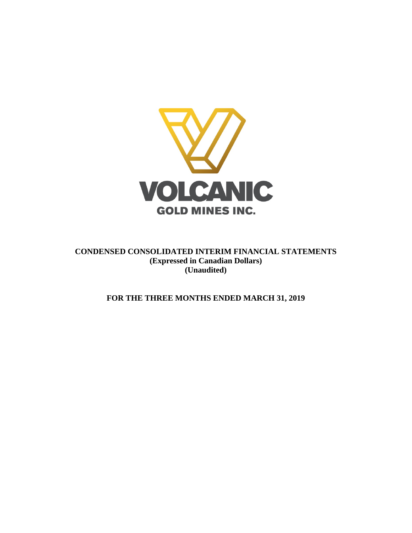

**CONDENSED CONSOLIDATED INTERIM FINANCIAL STATEMENTS (Expressed in Canadian Dollars) (Unaudited)**

**FOR THE THREE MONTHS ENDED MARCH 31, 2019**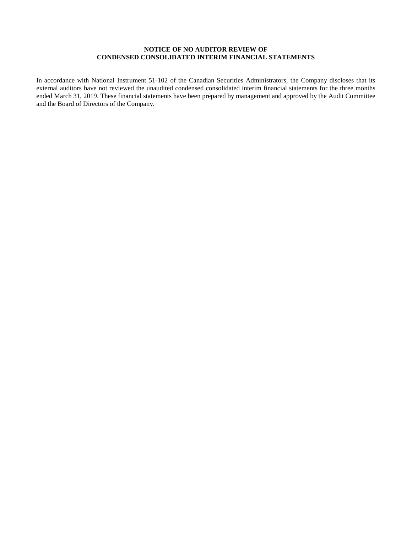# **NOTICE OF NO AUDITOR REVIEW OF CONDENSED CONSOLIDATED INTERIM FINANCIAL STATEMENTS**

In accordance with National Instrument 51-102 of the Canadian Securities Administrators, the Company discloses that its external auditors have not reviewed the unaudited condensed consolidated interim financial statements for the three months ended March 31, 2019. These financial statements have been prepared by management and approved by the Audit Committee and the Board of Directors of the Company.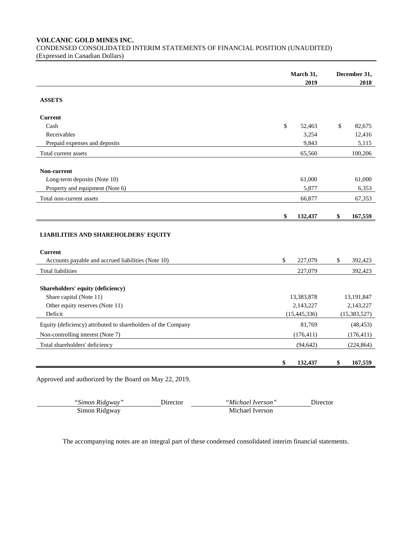**VOLCANIC GOLD MINES INC.**

CONDENSED CONSOLIDATED INTERIM STATEMENTS OF FINANCIAL POSITION (UNAUDITED) (Expressed in Canadian Dollars)

|                                                               | March 31, |                | December 31,   |
|---------------------------------------------------------------|-----------|----------------|----------------|
|                                                               |           | 2019           | 2018           |
| <b>ASSETS</b>                                                 |           |                |                |
| <b>Current</b>                                                |           |                |                |
| Cash                                                          | \$        | 52,463         | \$<br>82,675   |
| Receivables                                                   |           | 3,254          | 12,416         |
| Prepaid expenses and deposits                                 |           | 9,843          | 5,115          |
| Total current assets                                          |           | 65,560         | 100,206        |
|                                                               |           |                |                |
| Non-current                                                   |           |                |                |
| Long-term deposits (Note 10)                                  |           | 61,000         | 61,000         |
| Property and equipment (Note 6)                               |           | 5,877          | 6,353          |
| Total non-current assets                                      |           | 66,877         | 67,353         |
|                                                               |           |                |                |
|                                                               | \$        | 132,437        | \$<br>167,559  |
| <b>LIABILITIES AND SHAREHOLDERS' EQUITY</b>                   |           |                |                |
| <b>Current</b>                                                |           |                |                |
| Accounts payable and accrued liabilities (Note 10)            | \$        | 227,079        | \$<br>392,423  |
| <b>Total liabilities</b>                                      |           | 227,079        | 392,423        |
|                                                               |           |                |                |
| Shareholders' equity (deficiency)                             |           |                |                |
| Share capital (Note 11)                                       |           | 13,383,878     | 13,191,847     |
| Other equity reserves (Note 11)                               |           | 2,143,227      | 2,143,227      |
| Deficit                                                       |           | (15, 445, 336) | (15, 383, 527) |
| Equity (deficiency) attributed to shareholders of the Company |           | 81,769         | (48, 453)      |
| Non-controlling interest (Note 7)                             |           | (176, 411)     | (176, 411)     |
| Total shareholders' deficiency                                |           | (94, 642)      | (224, 864)     |
|                                                               | \$        | 132,437        | \$<br>167,559  |

Approved and authorized by the Board on May 22, 2019.

| "Simon Ridgway" | .) trector | "Michael Iverson" | <b>Jirector</b> |
|-----------------|------------|-------------------|-----------------|
| Simon Ridgway   |            | Michael Iverson   |                 |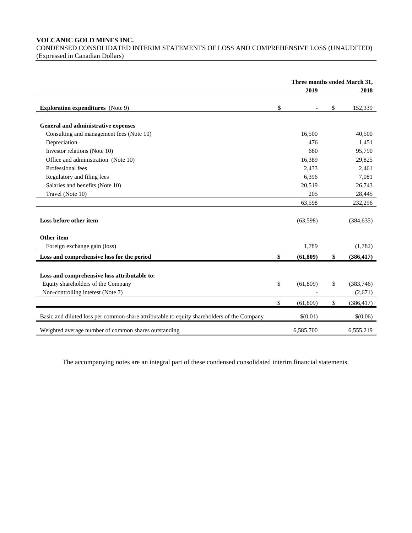# **VOLCANIC GOLD MINES INC.**

CONDENSED CONSOLIDATED INTERIM STATEMENTS OF LOSS AND COMPREHENSIVE LOSS (UNAUDITED) (Expressed in Canadian Dollars)

|                                                                                            | Three months ended March 31, |           |    |            |
|--------------------------------------------------------------------------------------------|------------------------------|-----------|----|------------|
|                                                                                            |                              | 2019      |    | 2018       |
| <b>Exploration expenditures</b> (Note 9)                                                   | \$                           |           | \$ | 152,339    |
| General and administrative expenses                                                        |                              |           |    |            |
| Consulting and management fees (Note 10)                                                   |                              | 16,500    |    | 40,500     |
| Depreciation                                                                               |                              | 476       |    | 1,451      |
| Investor relations (Note 10)                                                               |                              | 680       |    | 95,790     |
| Office and administration (Note 10)                                                        |                              | 16,389    |    | 29,825     |
| Professional fees                                                                          |                              | 2,433     |    | 2,461      |
| Regulatory and filing fees                                                                 |                              | 6,396     |    | 7,081      |
| Salaries and benefits (Note 10)                                                            |                              | 20,519    |    | 26,743     |
| Travel (Note 10)                                                                           |                              | 205       |    | 28,445     |
|                                                                                            |                              | 63,598    |    | 232,296    |
| Loss before other item                                                                     |                              | (63,598)  |    | (384, 635) |
| Other item                                                                                 |                              |           |    |            |
| Foreign exchange gain (loss)                                                               |                              | 1,789     |    | (1,782)    |
| Loss and comprehensive loss for the period                                                 | \$                           | (61, 809) | \$ | (386, 417) |
| Loss and comprehensive loss attributable to:<br>Equity shareholders of the Company         | \$                           | (61, 809) | \$ | (383, 746) |
|                                                                                            |                              |           |    |            |
| Non-controlling interest (Note 7)                                                          |                              |           |    | (2,671)    |
|                                                                                            | \$                           | (61, 809) | \$ | (386, 417) |
| Basic and diluted loss per common share attributable to equity shareholders of the Company |                              | \$(0.01)  |    | \$(0.06)   |
| Weighted average number of common shares outstanding                                       |                              | 6,585,700 |    | 6,555,219  |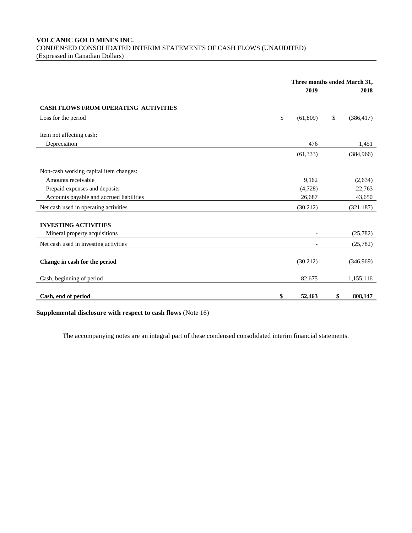# **VOLCANIC GOLD MINES INC.** CONDENSED CONSOLIDATED INTERIM STATEMENTS OF CASH FLOWS (UNAUDITED) (Expressed in Canadian Dollars)

|                                                              | Three months ended March 31, |    |            |  |
|--------------------------------------------------------------|------------------------------|----|------------|--|
|                                                              | 2019                         |    | 2018       |  |
| <b>CASH FLOWS FROM OPERATING ACTIVITIES</b>                  |                              |    |            |  |
| Loss for the period                                          | \$<br>(61, 809)              | \$ | (386, 417) |  |
| Item not affecting cash:                                     |                              |    |            |  |
| Depreciation                                                 | 476                          |    | 1,451      |  |
|                                                              | (61, 333)                    |    | (384,966)  |  |
| Non-cash working capital item changes:                       |                              |    |            |  |
| Amounts receivable                                           | 9,162                        |    | (2,634)    |  |
| Prepaid expenses and deposits                                | (4,728)                      |    | 22,763     |  |
| Accounts payable and accrued liabilities                     | 26,687                       |    | 43,650     |  |
| Net cash used in operating activities                        | (30,212)                     |    | (321, 187) |  |
| <b>INVESTING ACTIVITIES</b><br>Mineral property acquisitions |                              |    | (25, 782)  |  |
| Net cash used in investing activities                        |                              |    | (25, 782)  |  |
|                                                              |                              |    |            |  |
| Change in cash for the period                                | (30,212)                     |    | (346,969)  |  |
| Cash, beginning of period                                    | 82,675                       |    | 1,155,116  |  |
|                                                              |                              |    |            |  |
| Cash, end of period                                          | \$<br>52,463                 | \$ | 808,147    |  |

**Supplemental disclosure with respect to cash flows** (Note 16)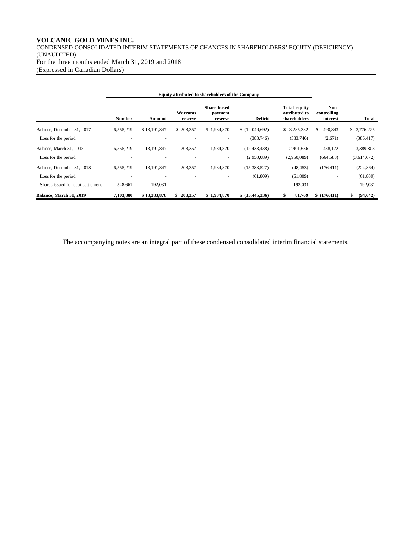# **VOLCANIC GOLD MINES INC.**

CONDENSED CONSOLIDATED INTERIM STATEMENTS OF CHANGES IN SHAREHOLDERS' EQUITY (DEFICIENCY) (UNAUDITED) For the three months ended March 31, 2019 and 2018 (Expressed in Canadian Dollars)

| <b>Equity attributed to shareholders of the Company</b> |               |              |                     |                                          |                 |                                               |                                 |                |
|---------------------------------------------------------|---------------|--------------|---------------------|------------------------------------------|-----------------|-----------------------------------------------|---------------------------------|----------------|
|                                                         | <b>Number</b> | Amount       | Warrants<br>reserve | <b>Share-based</b><br>payment<br>reserve | <b>Deficit</b>  | Total equity<br>attributed to<br>shareholders | Non-<br>controlling<br>interest | <b>Total</b>   |
| Balance, December 31, 2017                              | 6,555,219     | \$13,191,847 | \$208,357           | \$1,934,870                              | \$(12,049,692)  | 3,285,382<br>\$                               | \$<br>490,843                   | \$ 3,776,225   |
| Loss for the period                                     |               |              |                     |                                          | (383,746)       | (383,746)                                     | (2,671)                         | (386, 417)     |
| Balance, March 31, 2018                                 | 6,555,219     | 13, 191, 847 | 208,357             | 1,934,870                                | (12, 433, 438)  | 2,901,636                                     | 488,172                         | 3,389,808      |
| Loss for the period                                     |               |              |                     | $\sim$                                   | (2,950,089)     | (2,950,089)                                   | (664, 583)                      | (3,614,672)    |
| Balance, December 31, 2018                              | 6,555,219     | 13, 191, 847 | 208,357             | 1,934,870                                | (15, 383, 527)  | (48, 453)                                     | (176, 411)                      | (224, 864)     |
| Loss for the period                                     |               |              |                     |                                          | (61, 809)       | (61,809)                                      |                                 | (61, 809)      |
| Shares issued for debt settlement                       | 548,661       | 192,031      |                     |                                          |                 | 192,031                                       |                                 | 192,031        |
| Balance, March 31, 2019                                 | 7,103,880     | \$13,383,878 | 208,357             | \$1,934,870                              | \$ (15,445,336) | 81,769<br>\$                                  | \$(176, 411)                    | (94, 642)<br>S |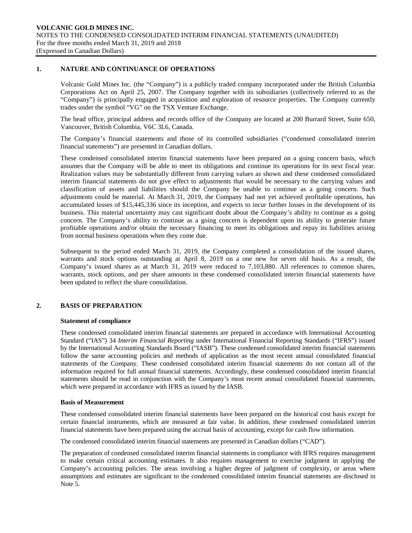# **1. NATURE AND CONTINUANCE OF OPERATIONS**

Volcanic Gold Mines Inc. (the "Company") is a publicly traded company incorporated under the British Columbia Corporations Act on April 25, 2007. The Company together with its subsidiaries (collectively referred to as the "Company") is principally engaged in acquisition and exploration of resource properties. The Company currently trades under the symbol "VG" on the TSX Venture Exchange.

The head office, principal address and records office of the Company are located at 200 Burrard Street, Suite 650, Vancouver, British Columbia, V6C 3L6, Canada.

The Company's financial statements and those of its controlled subsidiaries ("condensed consolidated interim financial statements") are presented in Canadian dollars.

These condensed consolidated interim financial statements have been prepared on a going concern basis, which assumes that the Company will be able to meet its obligations and continue its operations for its next fiscal year. Realization values may be substantially different from carrying values as shown and these condensed consolidated interim financial statements do not give effect to adjustments that would be necessary to the carrying values and classification of assets and liabilities should the Company be unable to continue as a going concern. Such adjustments could be material. At March 31, 2019, the Company had not yet achieved profitable operations, has accumulated losses of \$15,445,336 since its inception, and expects to incur further losses in the development of its business. This material uncertainty may cast significant doubt about the Company's ability to continue as a going concern. The Company's ability to continue as a going concern is dependent upon its ability to generate future profitable operations and/or obtain the necessary financing to meet its obligations and repay its liabilities arising from normal business operations when they come due.

Subsequent to the period ended March 31, 2019, the Company completed a consolidation of the issued shares, warrants and stock options outstanding at April 8, 2019 on a one new for seven old basis. As a result, the Company's issued shares as at March 31, 2019 were reduced to 7,103,880. All references to common shares, warrants, stock options, and per share amounts in these condensed consolidated interim financial statements have been updated to reflect the share consolidation.

# **2. BASIS OF PREPARATION**

#### **Statement of compliance**

These condensed consolidated interim financial statements are prepared in accordance with International Accounting Standard ("IAS") 34 *Interim Financial Reporting* under International Financial Reporting Standards ("IFRS") issued by the International Accounting Standards Board ("IASB"). These condensed consolidated interim financial statements follow the same accounting policies and methods of application as the most recent annual consolidated financial statements of the Company. These condensed consolidated interim financial statements do not contain all of the information required for full annual financial statements. Accordingly, these condensed consolidated interim financial statements should be read in conjunction with the Company's most recent annual consolidated financial statements, which were prepared in accordance with IFRS as issued by the IASB.

#### **Basis of Measurement**

These condensed consolidated interim financial statements have been prepared on the historical cost basis except for certain financial instruments, which are measured at fair value. In addition, these condensed consolidated interim financial statements have been prepared using the accrual basis of accounting, except for cash flow information.

The condensed consolidated interim financial statements are presented in Canadian dollars ("CAD").

The preparation of condensed consolidated interim financial statements in compliance with IFRS requires management to make certain critical accounting estimates. It also requires management to exercise judgment in applying the Company's accounting policies. The areas involving a higher degree of judgment of complexity, or areas where assumptions and estimates are significant to the condensed consolidated interim financial statements are disclosed in Note 5.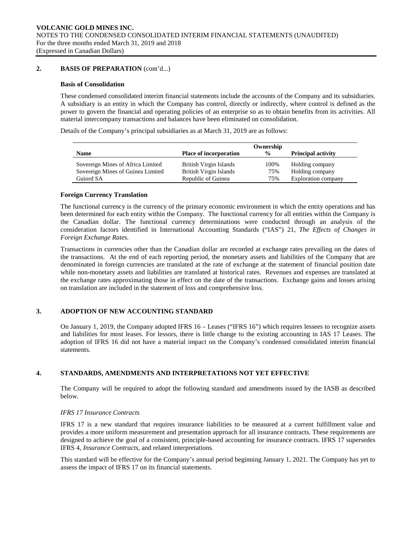# **2. BASIS OF PREPARATION** (cont'd...)

#### **Basis of Consolidation**

These condensed consolidated interim financial statements include the accounts of the Company and its subsidiaries. A subsidiary is an entity in which the Company has control, directly or indirectly, where control is defined as the power to govern the financial and operating policies of an enterprise so as to obtain benefits from its activities. All material intercompany transactions and balances have been eliminated on consolidation.

Details of the Company's principal subsidiaries as at March 31, 2019 are as follows:

|                                   |                               | Ownership     |                            |
|-----------------------------------|-------------------------------|---------------|----------------------------|
| <b>Name</b>                       | <b>Place of incorporation</b> | $\frac{0}{0}$ | <b>Principal activity</b>  |
| Sovereign Mines of Africa Limited | British Virgin Islands        | 100%          | Holding company            |
| Sovereign Mines of Guinea Limited | British Virgin Islands        | 75%           | Holding company            |
| Guiord SA                         | Republic of Guinea            | 75%           | <b>Exploration company</b> |

# **Foreign Currency Translation**

The functional currency is the currency of the primary economic environment in which the entity operations and has been determined for each entity within the Company. The functional currency for all entities within the Company is the Canadian dollar. The functional currency determinations were conducted through an analysis of the consideration factors identified in International Accounting Standards ("IAS") 21, *The Effects of Changes in Foreign Exchange Rates*.

Transactions in currencies other than the Canadian dollar are recorded at exchange rates prevailing on the dates of the transactions. At the end of each reporting period, the monetary assets and liabilities of the Company that are denominated in foreign currencies are translated at the rate of exchange at the statement of financial position date while non-monetary assets and liabilities are translated at historical rates. Revenues and expenses are translated at the exchange rates approximating those in effect on the date of the transactions. Exchange gains and losses arising on translation are included in the statement of loss and comprehensive loss.

# **3. ADOPTION OF NEW ACCOUNTING STANDARD**

On January 1, 2019, the Company adopted IFRS 16 – Leases ("IFRS 16") which requires lessees to recognize assets and liabilities for most leases. For lessors, there is little change to the existing accounting in IAS 17 Leases. The adoption of IFRS 16 did not have a material impact on the Company's condensed consolidated interim financial statements.

#### **4. STANDARDS, AMENDMENTS AND INTERPRETATIONS NOT YET EFFECTIVE**

The Company will be required to adopt the following standard and amendments issued by the IASB as described below.

# *IFRS 17 Insurance Contracts*

IFRS 17 is a new standard that requires insurance liabilities to be measured at a current fulfillment value and provides a more uniform measurement and presentation approach for all insurance contracts. These requirements are designed to achieve the goal of a consistent, principle-based accounting for insurance contracts. IFRS 17 supersedes IFRS 4, *Insurance Contracts*, and related interpretations.

This standard will be effective for the Company's annual period beginning January 1, 2021. The Company has yet to assess the impact of IFRS 17 on its financial statements.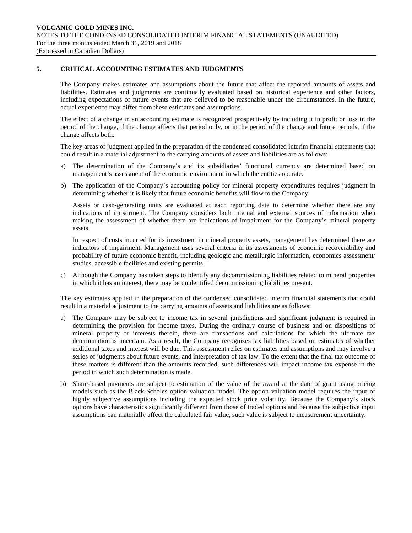# **5. CRITICAL ACCOUNTING ESTIMATES AND JUDGMENTS**

The Company makes estimates and assumptions about the future that affect the reported amounts of assets and liabilities. Estimates and judgments are continually evaluated based on historical experience and other factors, including expectations of future events that are believed to be reasonable under the circumstances. In the future, actual experience may differ from these estimates and assumptions.

The effect of a change in an accounting estimate is recognized prospectively by including it in profit or loss in the period of the change, if the change affects that period only, or in the period of the change and future periods, if the change affects both.

The key areas of judgment applied in the preparation of the condensed consolidated interim financial statements that could result in a material adjustment to the carrying amounts of assets and liabilities are as follows:

- a) The determination of the Company's and its subsidiaries' functional currency are determined based on management's assessment of the economic environment in which the entities operate.
- b) The application of the Company's accounting policy for mineral property expenditures requires judgment in determining whether it is likely that future economic benefits will flow to the Company.

Assets or cash-generating units are evaluated at each reporting date to determine whether there are any indications of impairment. The Company considers both internal and external sources of information when making the assessment of whether there are indications of impairment for the Company's mineral property assets.

In respect of costs incurred for its investment in mineral property assets, management has determined there are indicators of impairment. Management uses several criteria in its assessments of economic recoverability and probability of future economic benefit, including geologic and metallurgic information, economics assessment/ studies, accessible facilities and existing permits.

c) Although the Company has taken steps to identify any decommissioning liabilities related to mineral properties in which it has an interest, there may be unidentified decommissioning liabilities present.

The key estimates applied in the preparation of the condensed consolidated interim financial statements that could result in a material adjustment to the carrying amounts of assets and liabilities are as follows:

- a) The Company may be subject to income tax in several jurisdictions and significant judgment is required in determining the provision for income taxes. During the ordinary course of business and on dispositions of mineral property or interests therein, there are transactions and calculations for which the ultimate tax determination is uncertain. As a result, the Company recognizes tax liabilities based on estimates of whether additional taxes and interest will be due. This assessment relies on estimates and assumptions and may involve a series of judgments about future events, and interpretation of tax law. To the extent that the final tax outcome of these matters is different than the amounts recorded, such differences will impact income tax expense in the period in which such determination is made.
- b) Share-based payments are subject to estimation of the value of the award at the date of grant using pricing models such as the Black-Scholes option valuation model. The option valuation model requires the input of highly subjective assumptions including the expected stock price volatility. Because the Company's stock options have characteristics significantly different from those of traded options and because the subjective input assumptions can materially affect the calculated fair value, such value is subject to measurement uncertainty.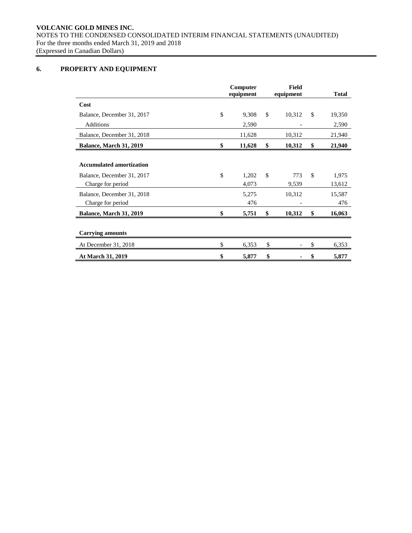**VOLCANIC GOLD MINES INC.** NOTES TO THE CONDENSED CONSOLIDATED INTERIM FINANCIAL STATEMENTS (UNAUDITED) For the three months ended March 31, 2019 and 2018 (Expressed in Canadian Dollars)

# **6. PROPERTY AND EQUIPMENT**

|                                                 | Computer<br>equipment | <b>Field</b><br>equipment | <b>Total</b>          |
|-------------------------------------------------|-----------------------|---------------------------|-----------------------|
| Cost                                            |                       |                           |                       |
| Balance, December 31, 2017                      | \$<br>9,308           | \$<br>10,312              | \$<br>19,350          |
| Additions                                       | 2,590                 |                           | 2,590                 |
| Balance, December 31, 2018                      | 11,628                | 10,312                    | 21,940                |
| <b>Balance, March 31, 2019</b>                  | \$<br>11,628          | \$<br>10,312              | \$<br>21,940          |
| <b>Accumulated amortization</b>                 |                       |                           |                       |
| Balance, December 31, 2017<br>Charge for period | \$<br>1,202<br>4,073  | \$<br>773<br>9,539        | \$<br>1,975<br>13,612 |
| Balance, December 31, 2018<br>Charge for period | 5,275<br>476          | 10,312                    | 15,587<br>476         |
| Balance, March 31, 2019                         | \$<br>5,751           | \$<br>10,312              | \$<br>16,063          |
| <b>Carrying amounts</b>                         |                       |                           |                       |
| At December 31, 2018                            | \$<br>6,353           | \$                        | \$<br>6,353           |
| At March 31, 2019                               | \$<br>5,877           | \$                        | \$<br>5,877           |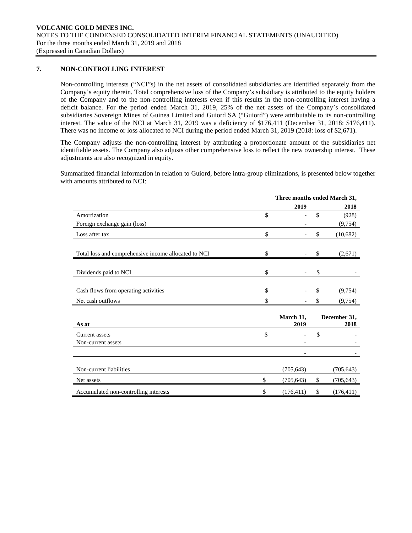# **7. NON-CONTROLLING INTEREST**

Non-controlling interests ("NCI"s) in the net assets of consolidated subsidiaries are identified separately from the Company's equity therein. Total comprehensive loss of the Company's subsidiary is attributed to the equity holders of the Company and to the non-controlling interests even if this results in the non-controlling interest having a deficit balance. For the period ended March 31, 2019, 25% of the net assets of the Company's consolidated subsidiaries Sovereign Mines of Guinea Limited and Guiord SA ("Guiord") were attributable to its non-controlling interest. The value of the NCI at March 31, 2019 was a deficiency of \$176,411 (December 31, 2018: \$176,411). There was no income or loss allocated to NCI during the period ended March 31, 2019 (2018: loss of \$2,671).

The Company adjusts the non-controlling interest by attributing a proportionate amount of the subsidiaries net identifiable assets. The Company also adjusts other comprehensive loss to reflect the new ownership interest. These adjustments are also recognized in equity.

Summarized financial information in relation to Guiord, before intra-group eliminations, is presented below together with amounts attributed to NCI:

|                                                      | Three months ended March 31, |    |                      |
|------------------------------------------------------|------------------------------|----|----------------------|
|                                                      | 2019                         |    | 2018                 |
| Amortization                                         | \$                           | \$ | (928)                |
| Foreign exchange gain (loss)                         |                              |    | (9,754)              |
| Loss after tax                                       | \$                           | \$ | (10,682)             |
| Total loss and comprehensive income allocated to NCI | \$                           | \$ | (2,671)              |
| Dividends paid to NCI                                | \$                           | S  |                      |
| Cash flows from operating activities                 | \$                           | \$ | (9,754)              |
| Net cash outflows                                    | \$                           | \$ | (9,754)              |
| As at                                                | March 31,<br>2019            |    | December 31,<br>2018 |
| Current assets                                       | \$                           | \$ |                      |
| Non-current assets                                   |                              |    |                      |
|                                                      |                              |    |                      |
| Non-current liabilities                              | (705, 643)                   |    | (705, 643)           |
| Net assets                                           | \$<br>(705, 643)             | \$ | (705, 643)           |
| Accumulated non-controlling interests                | \$<br>(176, 411)             | \$ | (176, 411)           |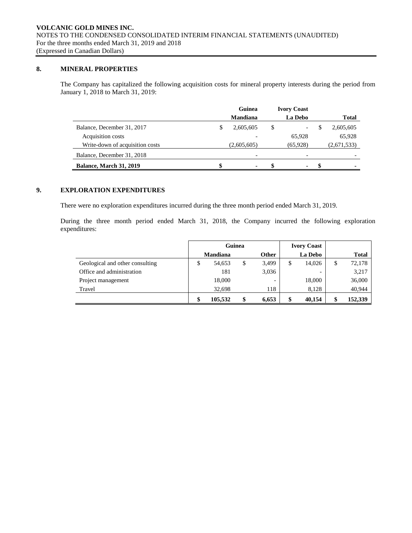# **8. MINERAL PROPERTIES**

The Company has capitalized the following acquisition costs for mineral property interests during the period from January 1, 2018 to March 31, 2019:

|                                 | Guinea                         |    | <b>Ivory Coast</b>       |    |              |
|---------------------------------|--------------------------------|----|--------------------------|----|--------------|
|                                 | <b>Mandiana</b>                |    | La Debo                  |    | <b>Total</b> |
| Balance, December 31, 2017      | \$<br>2,605,605                | \$ | $\overline{\phantom{0}}$ | -S | 2,605,605    |
| Acquisition costs               |                                |    | 65.928                   |    | 65,928       |
| Write-down of acquisition costs | (2,605,605)                    |    | (65,928)                 |    | (2,671,533)  |
| Balance, December 31, 2018      |                                |    |                          |    |              |
| <b>Balance, March 31, 2019</b>  | \$<br>$\overline{\phantom{a}}$ | S  | ۰                        | \$ |              |

# **9. EXPLORATION EXPENDITURES**

There were no exploration expenditures incurred during the three month period ended March 31, 2019.

During the three month period ended March 31, 2018, the Company incurred the following exploration expenditures:

|                                 | Guinea |                 |    | <b>Ivory Coast</b>       |              |              |
|---------------------------------|--------|-----------------|----|--------------------------|--------------|--------------|
|                                 |        | <b>Mandiana</b> |    | <b>Other</b>             | La Debo      | <b>Total</b> |
| Geological and other consulting | \$     | 54,653          | \$ | 3,499                    | \$<br>14,026 | \$<br>72,178 |
| Office and administration       |        | 181             |    | 3,036                    |              | 3,217        |
| Project management              |        | 18,000          |    | $\overline{\phantom{a}}$ | 18,000       | 36,000       |
| Travel                          |        | 32,698          |    | 118                      | 8,128        | 40,944       |
|                                 |        | 105.532         | \$ | 6,653                    | \$<br>40,154 | 152,339      |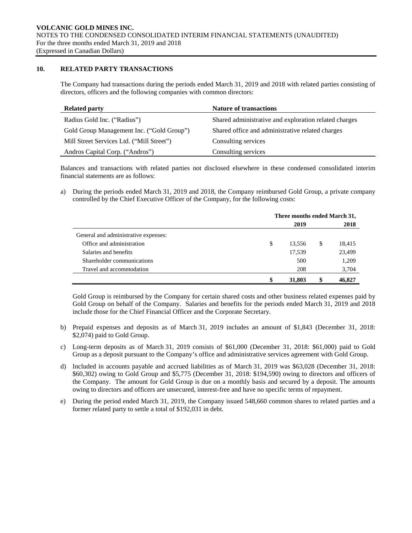# **10. RELATED PARTY TRANSACTIONS**

The Company had transactions during the periods ended March 31, 2019 and 2018 with related parties consisting of directors, officers and the following companies with common directors:

| <b>Related party</b>                      | <b>Nature of transactions</b>                         |
|-------------------------------------------|-------------------------------------------------------|
| Radius Gold Inc. ("Radius")               | Shared administrative and exploration related charges |
| Gold Group Management Inc. ("Gold Group") | Shared office and administrative related charges      |
| Mill Street Services Ltd. ("Mill Street") | Consulting services                                   |
| Andros Capital Corp. ("Andros")           | Consulting services                                   |

Balances and transactions with related parties not disclosed elsewhere in these condensed consolidated interim financial statements are as follows:

a) During the periods ended March 31, 2019 and 2018, the Company reimbursed Gold Group, a private company controlled by the Chief Executive Officer of the Company, for the following costs:

|                                      | Three months ended March 31, |   |        |  |  |  |
|--------------------------------------|------------------------------|---|--------|--|--|--|
|                                      | 2019                         |   | 2018   |  |  |  |
| General and administrative expenses: |                              |   |        |  |  |  |
| Office and administration            | \$<br>13,556                 | S | 18,415 |  |  |  |
| Salaries and benefits                | 17,539                       |   | 23,499 |  |  |  |
| Shareholder communications           | 500                          |   | 1,209  |  |  |  |
| Travel and accommodation             | 208                          |   | 3,704  |  |  |  |
|                                      | \$<br>31,803                 | S | 46,827 |  |  |  |

Gold Group is reimbursed by the Company for certain shared costs and other business related expenses paid by Gold Group on behalf of the Company. Salaries and benefits for the periods ended March 31, 2019 and 2018 include those for the Chief Financial Officer and the Corporate Secretary.

- b) Prepaid expenses and deposits as of March 31, 2019 includes an amount of \$1,843 (December 31, 2018: \$2,074) paid to Gold Group.
- c) Long-term deposits as of March 31, 2019 consists of \$61,000 (December 31, 2018: \$61,000) paid to Gold Group as a deposit pursuant to the Company's office and administrative services agreement with Gold Group.
- d) Included in accounts payable and accrued liabilities as of March 31, 2019 was \$63,028 (December 31, 2018: \$60,302) owing to Gold Group and \$5,775 (December 31, 2018: \$194,590) owing to directors and officers of the Company. The amount for Gold Group is due on a monthly basis and secured by a deposit. The amounts owing to directors and officers are unsecured, interest-free and have no specific terms of repayment.
- e) During the period ended March 31, 2019, the Company issued 548,660 common shares to related parties and a former related party to settle a total of \$192,031 in debt.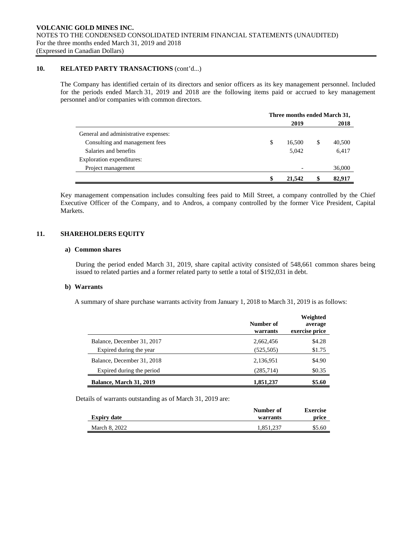# **10. RELATED PARTY TRANSACTIONS** (cont'd...)

The Company has identified certain of its directors and senior officers as its key management personnel. Included for the periods ended March 31, 2019 and 2018 are the following items paid or accrued to key management personnel and/or companies with common directors.

|                                      | Three months ended March 31, |        |   |        |
|--------------------------------------|------------------------------|--------|---|--------|
|                                      | 2019                         |        |   |        |
| General and administrative expenses: |                              |        |   |        |
| Consulting and management fees       | \$                           | 16.500 | S | 40,500 |
| Salaries and benefits                |                              | 5.042  |   | 6,417  |
| Exploration expenditures:            |                              |        |   |        |
| Project management                   |                              |        |   | 36,000 |
|                                      | \$                           | 21,542 |   | 82,917 |

Key management compensation includes consulting fees paid to Mill Street, a company controlled by the Chief Executive Officer of the Company, and to Andros, a company controlled by the former Vice President, Capital Markets.

# **11. SHAREHOLDERS EQUITY**

#### **a) Common shares**

During the period ended March 31, 2019, share capital activity consisted of 548,661 common shares being issued to related parties and a former related party to settle a total of \$192,031 in debt.

#### **b) Warrants**

A summary of share purchase warrants activity from January 1, 2018 to March 31, 2019 is as follows:

|                                | Number of<br>warrants | Weighted<br>average<br>exercise price |
|--------------------------------|-----------------------|---------------------------------------|
| Balance, December 31, 2017     | 2,662,456             | \$4.28                                |
| Expired during the year        | (525, 505)            | \$1.75                                |
| Balance, December 31, 2018     | 2,136,951             | \$4.90                                |
| Expired during the period      | (285,714)             | \$0.35                                |
| <b>Balance, March 31, 2019</b> | 1,851,237             | \$5.60                                |

Details of warrants outstanding as of March 31, 2019 are:

|                    | Number of | <b>Exercise</b> |
|--------------------|-----------|-----------------|
| <b>Expiry date</b> | warrants  | price           |
| March 8, 2022      | 1.851.237 | \$5.60          |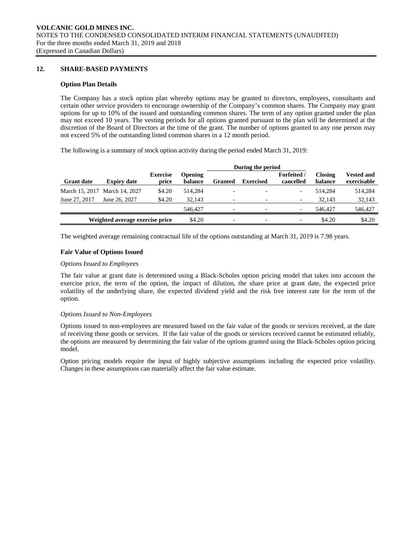# **12. SHARE-BASED PAYMENTS**

#### **Option Plan Details**

The Company has a stock option plan whereby options may be granted to directors, employees, consultants and certain other service providers to encourage ownership of the Company's common shares. The Company may grant options for up to 10% of the issued and outstanding common shares. The term of any option granted under the plan may not exceed 10 years. The vesting periods for all options granted pursuant to the plan will be determined at the discretion of the Board of Directors at the time of the grant. The number of options granted to any one person may not exceed 5% of the outstanding listed common shares in a 12 month period.

The following is a summary of stock option activity during the period ended March 31, 2019:

| <b>Expiry date</b>            | <b>Exercise</b><br>price | <b>Opening</b><br>balance       | <b>Granted</b>           | <b>Exercised</b>         | <b>Forfeited</b> /<br>cancelled | <b>Closing</b><br>balance | <b>Vested and</b><br>exercisable |
|-------------------------------|--------------------------|---------------------------------|--------------------------|--------------------------|---------------------------------|---------------------------|----------------------------------|
| March 15, 2017 March 14, 2027 | \$4.20                   | 514.284                         |                          | $\overline{\phantom{a}}$ | $\overline{\phantom{a}}$        | 514.284                   | 514,284                          |
| June 26, 2027                 | \$4.20                   | 32.143                          |                          | $\overline{\phantom{a}}$ | $\overline{\phantom{a}}$        | 32.143                    | 32,143                           |
|                               |                          | 546,427                         | $\overline{\phantom{0}}$ | $\overline{\phantom{a}}$ | $\overline{\phantom{a}}$        | 546,427                   | 546,427                          |
|                               |                          | \$4.20                          |                          | $\overline{\phantom{a}}$ | $\overline{\phantom{a}}$        | \$4.20                    | \$4.20                           |
|                               |                          | Weighted average exercise price |                          |                          |                                 | During the period         |                                  |

The weighted average remaining contractual life of the options outstanding at March 31, 2019 is 7.98 years.

# **Fair Value of Options Issued**

#### *Options Issued to Employees*

The fair value at grant date is determined using a Black-Scholes option pricing model that takes into account the exercise price, the term of the option, the impact of dilution, the share price at grant date, the expected price volatility of the underlying share, the expected dividend yield and the risk free interest rate for the term of the option.

#### *Options Issued to Non-Employees*

Options issued to non-employees are measured based on the fair value of the goods or services received, at the date of receiving those goods or services. If the fair value of the goods or services received cannot be estimated reliably, the options are measured by determining the fair value of the options granted using the Black-Scholes option pricing model.

Option pricing models require the input of highly subjective assumptions including the expected price volatility. Changes in these assumptions can materially affect the fair value estimate.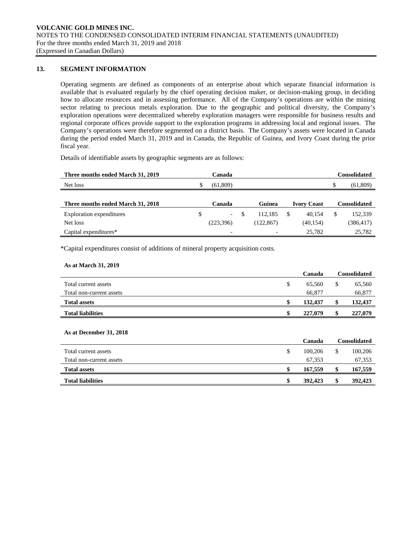# **13. SEGMENT INFORMATION**

Operating segments are defined as components of an enterprise about which separate financial information is available that is evaluated regularly by the chief operating decision maker, or decision-making group, in deciding how to allocate resources and in assessing performance. All of the Company's operations are within the mining sector relating to precious metals exploration. Due to the geographic and political diversity, the Company's exploration operations were decentralized whereby exploration managers were responsible for business results and regional corporate offices provide support to the exploration programs in addressing local and regional issues. The Company's operations were therefore segmented on a district basis. The Company's assets were located in Canada during the period ended March 31, 2019 and in Canada, the Republic of Guinea, and Ivory Coast during the prior fiscal year.

Details of identifiable assets by geographic segments are as follows:

| Three months ended March 31, 2019 |   | Canada                   |           |                    | <b>Consolidated</b> |
|-----------------------------------|---|--------------------------|-----------|--------------------|---------------------|
| Net loss                          |   | (61,809)                 |           |                    | (61,809)            |
|                                   |   |                          |           |                    |                     |
| Three months ended March 31, 2018 |   | Canada                   | Guinea    | <b>Ivory Coast</b> | <b>Consolidated</b> |
| <b>Exploration</b> expenditures   | S | $\overline{\phantom{a}}$ | 112.185   | \$<br>40.154       | 152,339             |
| Net loss                          |   | (223,396)                | (122.867) | (40, 154)          | (386,417)           |
| Capital expenditures*             |   | $\overline{\phantom{0}}$ | -         | 25,782             | 25,782              |

\*Capital expenditures consist of additions of mineral property acquisition costs.

#### **As at March 31, 2019**

|                          |    | Canada  |   | Consolidated |
|--------------------------|----|---------|---|--------------|
| Total current assets     | \$ | 65.560  | S | 65,560       |
| Total non-current assets |    | 66,877  |   | 66,877       |
| <b>Total assets</b>      |    | 132,437 |   | 132,437      |
| <b>Total liabilities</b> | æ. | 227,079 |   | 227,079      |

#### **As at December 31, 2018**

|                          | Canada        |   | Consolidated |
|--------------------------|---------------|---|--------------|
| Total current assets     | \$<br>100,206 | S | 100,206      |
| Total non-current assets | 67.353        |   | 67,353       |
| <b>Total assets</b>      | 167,559       |   | 167,559      |
| <b>Total liabilities</b> | \$<br>392,423 |   | 392,423      |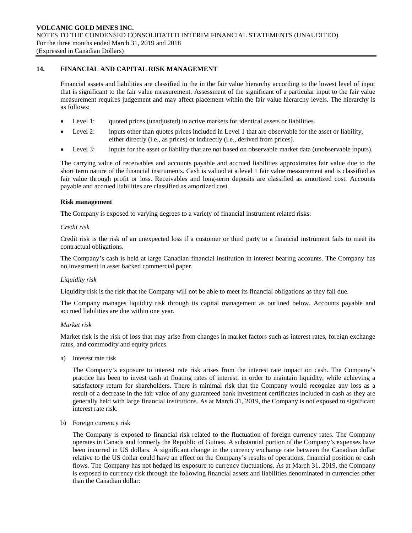# **14. FINANCIAL AND CAPITAL RISK MANAGEMENT**

Financial assets and liabilities are classified in the in the fair value hierarchy according to the lowest level of input that is significant to the fair value measurement. Assessment of the significant of a particular input to the fair value measurement requires judgement and may affect placement within the fair value hierarchy levels. The hierarchy is as follows:

- Level 1: quoted prices (unadjusted) in active markets for identical assets or liabilities.
- Level 2: inputs other than quotes prices included in Level 1 that are observable for the asset or liability, either directly (i.e., as prices) or indirectly (i.e., derived from prices).
- Level 3: inputs for the asset or liability that are not based on observable market data (unobservable inputs).

The carrying value of receivables and accounts payable and accrued liabilities approximates fair value due to the short term nature of the financial instruments. Cash is valued at a level 1 fair value measurement and is classified as fair value through profit or loss. Receivables and long-term deposits are classified as amortized cost. Accounts payable and accrued liabilities are classified as amortized cost.

#### **Risk management**

The Company is exposed to varying degrees to a variety of financial instrument related risks:

# *Credit risk*

Credit risk is the risk of an unexpected loss if a customer or third party to a financial instrument fails to meet its contractual obligations.

The Company's cash is held at large Canadian financial institution in interest bearing accounts. The Company has no investment in asset backed commercial paper.

#### *Liquidity risk*

Liquidity risk is the risk that the Company will not be able to meet its financial obligations as they fall due.

The Company manages liquidity risk through its capital management as outlined below. Accounts payable and accrued liabilities are due within one year.

#### *Market risk*

Market risk is the risk of loss that may arise from changes in market factors such as interest rates, foreign exchange rates, and commodity and equity prices.

a) Interest rate risk

The Company's exposure to interest rate risk arises from the interest rate impact on cash. The Company's practice has been to invest cash at floating rates of interest, in order to maintain liquidity, while achieving a satisfactory return for shareholders. There is minimal risk that the Company would recognize any loss as a result of a decrease in the fair value of any guaranteed bank investment certificates included in cash as they are generally held with large financial institutions. As at March 31, 2019, the Company is not exposed to significant interest rate risk.

b) Foreign currency risk

The Company is exposed to financial risk related to the fluctuation of foreign currency rates. The Company operates in Canada and formerly the Republic of Guinea. A substantial portion of the Company's expenses have been incurred in US dollars. A significant change in the currency exchange rate between the Canadian dollar relative to the US dollar could have an effect on the Company's results of operations, financial position or cash flows. The Company has not hedged its exposure to currency fluctuations. As at March 31, 2019, the Company is exposed to currency risk through the following financial assets and liabilities denominated in currencies other than the Canadian dollar: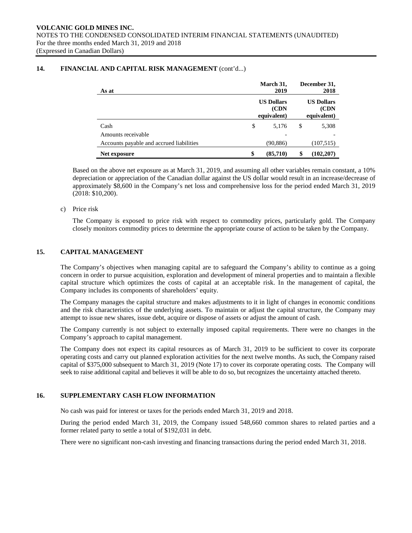| As at                                    | March 31,<br>2019                         | December 31,<br>2018                      |
|------------------------------------------|-------------------------------------------|-------------------------------------------|
|                                          | <b>US Dollars</b><br>(CDN)<br>equivalent) | <b>US Dollars</b><br>(CDN)<br>equivalent) |
| Cash                                     | \$<br>5,176                               | \$<br>5,308                               |
| Amounts receivable                       |                                           |                                           |
| Accounts payable and accrued liabilities | (90,886)                                  | (107, 515)                                |
| Net exposure                             | \$<br>(85,710)                            | (102, 207)                                |

# **14. FINANCIAL AND CAPITAL RISK MANAGEMENT** (cont'd...)

Based on the above net exposure as at March 31, 2019, and assuming all other variables remain constant, a 10% depreciation or appreciation of the Canadian dollar against the US dollar would result in an increase/decrease of approximately \$8,600 in the Company's net loss and comprehensive loss for the period ended March 31, 2019 (2018: \$10,200).

# c) Price risk

The Company is exposed to price risk with respect to commodity prices, particularly gold. The Company closely monitors commodity prices to determine the appropriate course of action to be taken by the Company.

# **15. CAPITAL MANAGEMENT**

The Company's objectives when managing capital are to safeguard the Company's ability to continue as a going concern in order to pursue acquisition, exploration and development of mineral properties and to maintain a flexible capital structure which optimizes the costs of capital at an acceptable risk. In the management of capital, the Company includes its components of shareholders' equity.

The Company manages the capital structure and makes adjustments to it in light of changes in economic conditions and the risk characteristics of the underlying assets. To maintain or adjust the capital structure, the Company may attempt to issue new shares, issue debt, acquire or dispose of assets or adjust the amount of cash.

The Company currently is not subject to externally imposed capital requirements. There were no changes in the Company's approach to capital management.

The Company does not expect its capital resources as of March 31, 2019 to be sufficient to cover its corporate operating costs and carry out planned exploration activities for the next twelve months. As such, the Company raised capital of \$375,000 subsequent to March 31, 2019 (Note 17) to cover its corporate operating costs. The Company will seek to raise additional capital and believes it will be able to do so, but recognizes the uncertainty attached thereto.

# **16. SUPPLEMENTARY CASH FLOW INFORMATION**

No cash was paid for interest or taxes for the periods ended March 31, 2019 and 2018.

During the period ended March 31, 2019, the Company issued 548,660 common shares to related parties and a former related party to settle a total of \$192,031 in debt.

There were no significant non-cash investing and financing transactions during the period ended March 31, 2018.